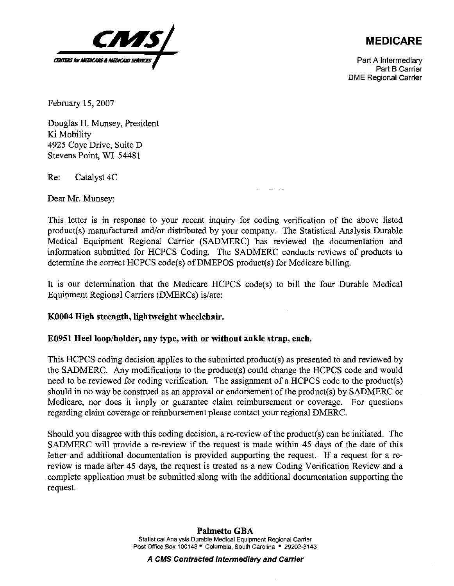

**MEDICARE** 

Part A Intermediary Part B Carrier DME Regional Carrier

February 15,2007

Douglas H. Munsey, President Ki Mobility 4925 Coye Drive, Suite D Stevens Point, WI 5448 1

Re: Catalyst 4C

Dear Mr. Munsey:

This letter is in response to your recent inquiry for coding verification of the above listed product(s) manufactured and/or distributed by your company. The Statistical Analysis Durable Medical Equipment Regional Carrier (SADMERC) has reviewed the documentation and information submitted for HCPCS Coding. The SADMERC conducts reviews of products to determine the correct HCPCS code(s) of DMEPOS product(s) for Medicare billing.

- -

It is our determination that the Medicare HCPCS code(s) to bill the four Durable Medical Equipment Regional Carriers (DMERCs) is/are:

## **KO004 High strength, lightweight wheelchair.**

## E0951 Heel loop/holder, any type, with or without ankle strap, each.

This HCPCS coding decision applies to the submitted product(s) as presented to and reviewed by the SADMERC. Any modifications to the product(s) could change the HCPCS code and would need to be reviewed for coding verification. The assignment of a HCPCS code to the product(s) should in no way be construed as an approval or endorsement of the product(s) by SADMERC or Medicare, nor does it imply or guarantee claim reimbursement or coverage. For questions regarding claim coverage or reimbursement please contact your regional DMERC.

Should you disagree with this coding decision, a re-review of the product(s) can be initiated. The SADMERC will provide a re-review if the request is made within 45 days of the date of this letter and additional documentation is provided supporting the request. If a request for a rereview is made after 45 days, the request is treated as a new Coding Verification Review and a complete application must be submitted along with the additional documentation supporting the request.

**A CMS Contracted Intermediary and Carrier**